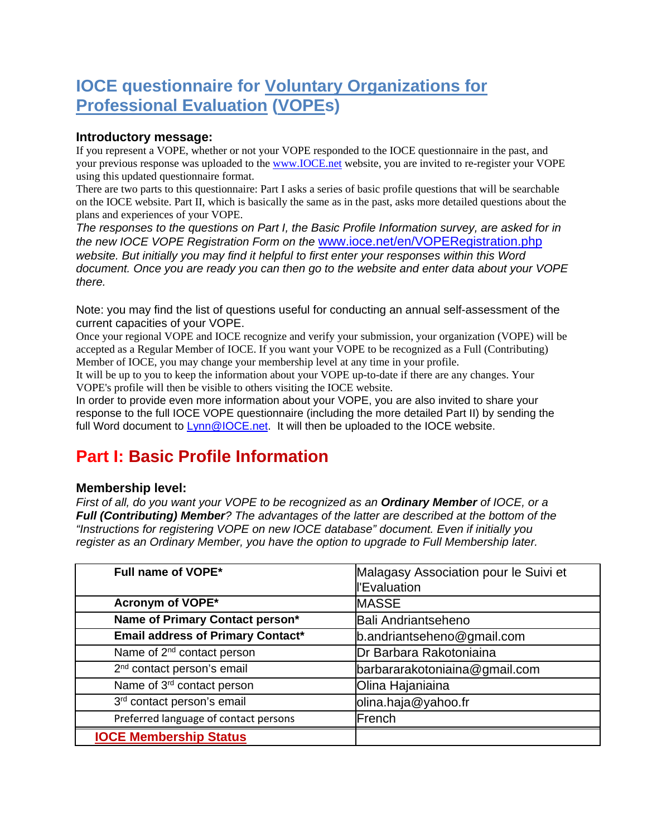# **IOCE questionnaire for Voluntary Organizations for Professional Evaluation (VOPEs)**

#### **Introductory message:**

If you represent a VOPE, whether or not your VOPE responded to the IOCE questionnaire in the past, and your previous response was uploaded to the [www.IOCE.net](http://www.ioce.net/) website, you are invited to re-register your VOPE using this updated questionnaire format.

There are two parts to this questionnaire: Part I asks a series of basic profile questions that will be searchable on the IOCE website. Part II, which is basically the same as in the past, asks more detailed questions about the plans and experiences of your VOPE.

*The responses to the questions on Part I, the Basic Profile Information survey, are asked for in the new IOCE VOPE Registration Form on the* [www.ioce.net/en/VOPERegistration.php](http://www.ioce.net/en/VOPERegistration.php) *website. But initially you may find it helpful to first enter your responses within this Word document. Once you are ready you can then go to the website and enter data about your VOPE there.*

Note: you may find the list of questions useful for conducting an annual self-assessment of the current capacities of your VOPE.

Once your regional VOPE and IOCE recognize and verify your submission, your organization (VOPE) will be accepted as a Regular Member of IOCE. If you want your VOPE to be recognized as a Full (Contributing) Member of IOCE, you may change your membership level at any time in your profile.

It will be up to you to keep the information about your VOPE up-to-date if there are any changes. Your VOPE's profile will then be visible to others visiting the IOCE website.

In order to provide even more information about your VOPE, you are also invited to share your response to the full IOCE VOPE questionnaire (including the more detailed Part II) by sending the full Word document to [Lynn@IOCE.net.](chrome-extension://gbkeegbaiigmenfmjfclcdgdpimamgkj/views/qowt.html#mailto:Lynn@IOCE.net) It will then be uploaded to the IOCE website.

## **Part I: Basic Profile Information**

#### **Membership level:**

*First of all, do you want your VOPE to be recognized as an Ordinary Member of IOCE, or a Full (Contributing) Member? The advantages of the latter are described at the bottom of the "Instructions for registering VOPE on new IOCE database" document. Even if initially you register as an Ordinary Member, you have the option to upgrade to Full Membership later.*

| Full name of VOPE*                       | Malagasy Association pour le Suivi et<br>l'Evaluation |
|------------------------------------------|-------------------------------------------------------|
| Acronym of VOPE*                         | <b>MASSE</b>                                          |
| Name of Primary Contact person*          | <b>Bali Andriantseheno</b>                            |
| <b>Email address of Primary Contact*</b> | b.andriantseheno@gmail.com                            |
| Name of 2 <sup>nd</sup> contact person   | Dr Barbara Rakotoniaina                               |
| 2 <sup>nd</sup> contact person's email   | barbararakotoniaina@gmail.com                         |
| Name of 3rd contact person               | Olina Hajaniaina                                      |
| 3 <sup>rd</sup> contact person's email   | olina.haja@yahoo.fr                                   |
| Preferred language of contact persons    | French                                                |
| <b>IOCE Membership Status</b>            |                                                       |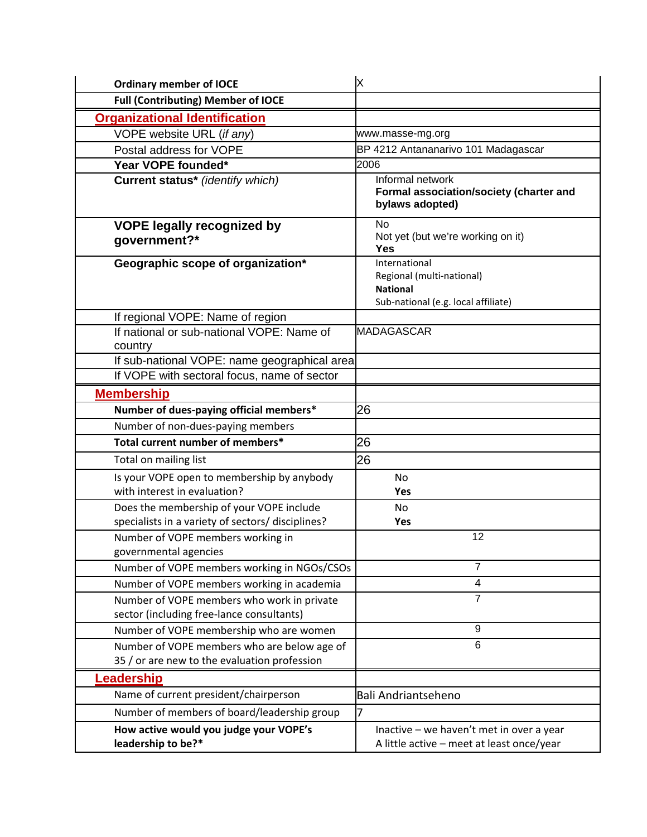| <b>Ordinary member of IOCE</b>                                                          | X                                                                                                    |
|-----------------------------------------------------------------------------------------|------------------------------------------------------------------------------------------------------|
| <b>Full (Contributing) Member of IOCE</b>                                               |                                                                                                      |
| <b>Organizational Identification</b>                                                    |                                                                                                      |
| VOPE website URL (if any)                                                               | www.masse-mg.org                                                                                     |
| Postal address for VOPE                                                                 | BP 4212 Antananarivo 101 Madagascar                                                                  |
| Year VOPE founded*                                                                      | 2006                                                                                                 |
| <b>Current status*</b> (identify which)                                                 | Informal network<br>Formal association/society (charter and<br>bylaws adopted)                       |
| <b>VOPE legally recognized by</b><br>government?*                                       | <b>No</b><br>Not yet (but we're working on it)<br><b>Yes</b>                                         |
| Geographic scope of organization*                                                       | International<br>Regional (multi-national)<br><b>National</b><br>Sub-national (e.g. local affiliate) |
| If regional VOPE: Name of region                                                        |                                                                                                      |
| If national or sub-national VOPE: Name of                                               | <b>MADAGASCAR</b>                                                                                    |
| country                                                                                 |                                                                                                      |
| If sub-national VOPE: name geographical area                                            |                                                                                                      |
| If VOPE with sectoral focus, name of sector                                             |                                                                                                      |
| <b>Membership</b>                                                                       |                                                                                                      |
| Number of dues-paying official members*                                                 | 26                                                                                                   |
| Number of non-dues-paying members                                                       |                                                                                                      |
| Total current number of members*                                                        | 26                                                                                                   |
| Total on mailing list                                                                   | 26                                                                                                   |
| Is your VOPE open to membership by anybody                                              | No                                                                                                   |
| with interest in evaluation?                                                            | Yes                                                                                                  |
| Does the membership of your VOPE include                                                | No                                                                                                   |
| specialists in a variety of sectors/ disciplines?                                       | Yes                                                                                                  |
| Number of VOPE members working in<br>governmental agencies                              | 12                                                                                                   |
| Number of VOPE members working in NGOs/CSOs                                             | $\overline{7}$                                                                                       |
| Number of VOPE members working in academia                                              | 4                                                                                                    |
| Number of VOPE members who work in private<br>sector (including free-lance consultants) | $\overline{7}$                                                                                       |
| Number of VOPE membership who are women                                                 | 9                                                                                                    |
| Number of VOPE members who are below age of                                             | 6                                                                                                    |
| 35 / or are new to the evaluation profession                                            |                                                                                                      |
| Leadership                                                                              |                                                                                                      |
| Name of current president/chairperson                                                   | <b>Bali Andriantseheno</b>                                                                           |
| Number of members of board/leadership group                                             | 7                                                                                                    |
| How active would you judge your VOPE's                                                  | Inactive - we haven't met in over a year                                                             |
| leadership to be?*                                                                      | A little active - meet at least once/year                                                            |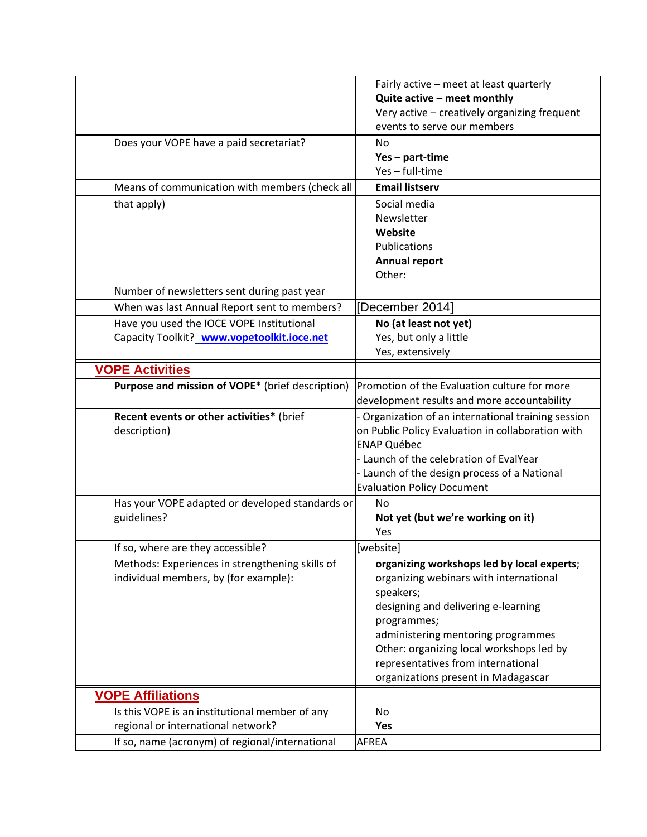|                                                                                      | Fairly active - meet at least quarterly<br>Quite active - meet monthly |
|--------------------------------------------------------------------------------------|------------------------------------------------------------------------|
|                                                                                      | Very active - creatively organizing frequent                           |
|                                                                                      | events to serve our members                                            |
| Does your VOPE have a paid secretariat?                                              | No                                                                     |
|                                                                                      | Yes - part-time                                                        |
|                                                                                      | Yes - full-time                                                        |
| Means of communication with members (check all                                       | <b>Email listserv</b>                                                  |
| that apply)                                                                          | Social media                                                           |
|                                                                                      | Newsletter                                                             |
|                                                                                      | Website                                                                |
|                                                                                      | Publications                                                           |
|                                                                                      | <b>Annual report</b>                                                   |
|                                                                                      | Other:                                                                 |
| Number of newsletters sent during past year                                          |                                                                        |
| When was last Annual Report sent to members?                                         | [December 2014]                                                        |
| Have you used the IOCE VOPE Institutional                                            | No (at least not yet)                                                  |
| Capacity Toolkit? www.vopetoolkit.ioce.net                                           | Yes, but only a little                                                 |
|                                                                                      | Yes, extensively                                                       |
| <b>VOPE Activities</b>                                                               |                                                                        |
| Purpose and mission of VOPE* (brief description)                                     | Promotion of the Evaluation culture for more                           |
|                                                                                      | development results and more accountability                            |
| Recent events or other activities* (brief                                            | - Organization of an international training session                    |
| description)                                                                         | on Public Policy Evaluation in collaboration with                      |
|                                                                                      | <b>ENAP Québec</b>                                                     |
|                                                                                      | Launch of the celebration of EvalYear                                  |
|                                                                                      | - Launch of the design process of a National                           |
|                                                                                      | <b>Evaluation Policy Document</b>                                      |
| Has your VOPE adapted or developed standards or                                      | No                                                                     |
| guidelines?                                                                          | Not yet (but we're working on it)                                      |
|                                                                                      | Yes                                                                    |
| If so, where are they accessible?                                                    | [website]                                                              |
| Methods: Experiences in strengthening skills of                                      |                                                                        |
| individual members, by (for example):                                                | organizing workshops led by local experts;                             |
|                                                                                      | organizing webinars with international                                 |
|                                                                                      | speakers;                                                              |
|                                                                                      | designing and delivering e-learning                                    |
|                                                                                      | programmes;                                                            |
|                                                                                      | administering mentoring programmes                                     |
|                                                                                      | Other: organizing local workshops led by                               |
|                                                                                      | representatives from international                                     |
|                                                                                      | organizations present in Madagascar                                    |
| <b>VOPE Affiliations</b>                                                             |                                                                        |
| Is this VOPE is an institutional member of any<br>regional or international network? | No<br>Yes                                                              |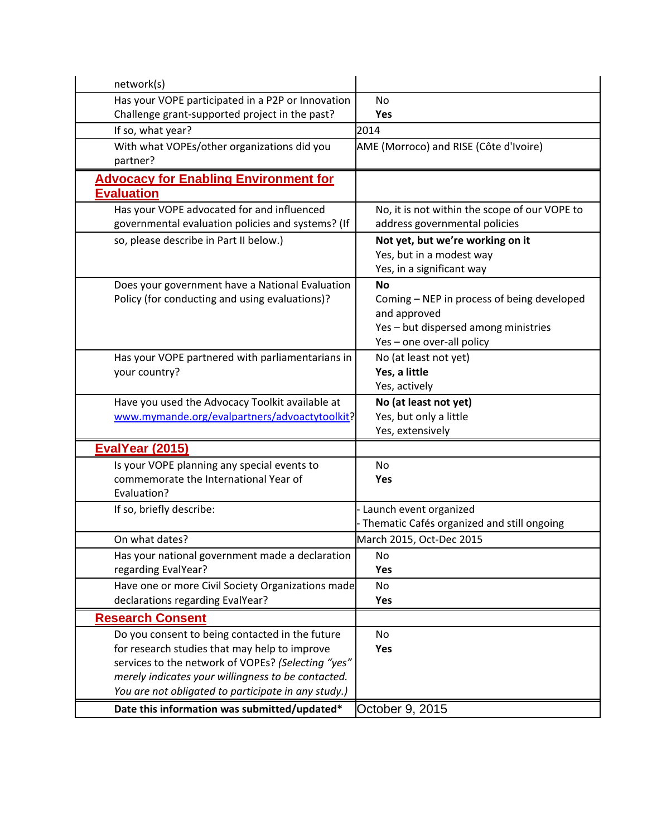| network(s)                                          |                                               |
|-----------------------------------------------------|-----------------------------------------------|
| Has your VOPE participated in a P2P or Innovation   | <b>No</b>                                     |
| Challenge grant-supported project in the past?      | Yes                                           |
| If so, what year?                                   | 2014                                          |
| With what VOPEs/other organizations did you         | AME (Morroco) and RISE (Côte d'Ivoire)        |
| partner?                                            |                                               |
| <b>Advocacy for Enabling Environment for</b>        |                                               |
| <b>Evaluation</b>                                   |                                               |
| Has your VOPE advocated for and influenced          | No, it is not within the scope of our VOPE to |
| governmental evaluation policies and systems? (If   | address governmental policies                 |
| so, please describe in Part II below.)              | Not yet, but we're working on it              |
|                                                     | Yes, but in a modest way                      |
|                                                     | Yes, in a significant way                     |
| Does your government have a National Evaluation     | <b>No</b>                                     |
| Policy (for conducting and using evaluations)?      | Coming - NEP in process of being developed    |
|                                                     | and approved                                  |
|                                                     | Yes - but dispersed among ministries          |
|                                                     | Yes - one over-all policy                     |
| Has your VOPE partnered with parliamentarians in    | No (at least not yet)                         |
| your country?                                       | Yes, a little                                 |
|                                                     | Yes, actively                                 |
|                                                     |                                               |
| Have you used the Advocacy Toolkit available at     | No (at least not yet)                         |
| www.mymande.org/evalpartners/advoactytoolkit?       | Yes, but only a little                        |
|                                                     | Yes, extensively                              |
| <b>EvalYear (2015)</b>                              |                                               |
| Is your VOPE planning any special events to         | No                                            |
| commemorate the International Year of               | Yes                                           |
| Evaluation?                                         |                                               |
| If so, briefly describe:                            | Launch event organized                        |
|                                                     | Thematic Cafés organized and still ongoing    |
| On what dates?                                      | March 2015, Oct-Dec 2015                      |
| Has your national government made a declaration     | No                                            |
| regarding EvalYear?                                 | Yes                                           |
| Have one or more Civil Society Organizations made   | <b>No</b>                                     |
| declarations regarding EvalYear?                    | Yes                                           |
| <b>Research Consent</b>                             |                                               |
| Do you consent to being contacted in the future     | No                                            |
| for research studies that may help to improve       | Yes                                           |
| services to the network of VOPEs? (Selecting "yes"  |                                               |
| merely indicates your willingness to be contacted.  |                                               |
| You are not obligated to participate in any study.) |                                               |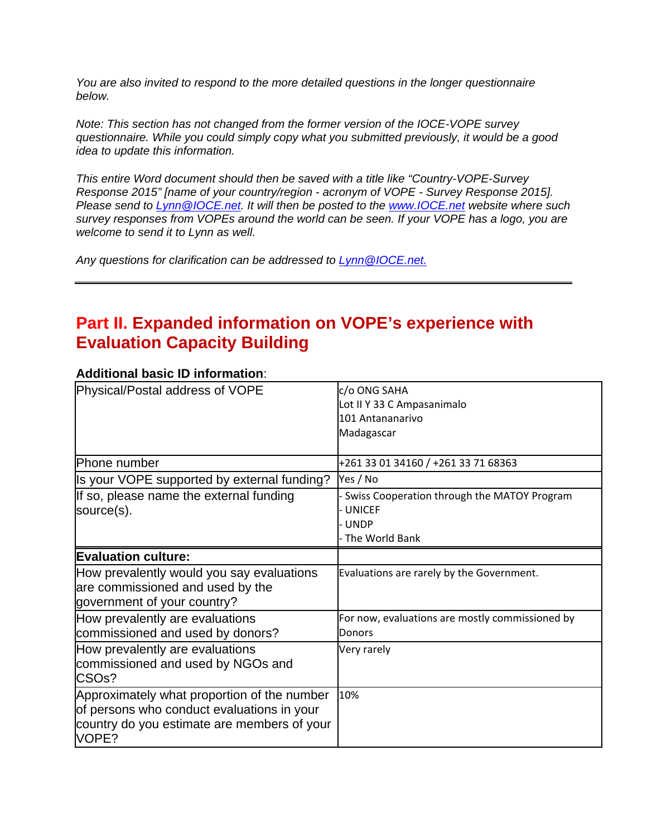*You are also invited to respond to the more detailed questions in the longer questionnaire below.* 

*Note: This section has not changed from the former version of the IOCE-VOPE survey questionnaire. While you could simply copy what you submitted previously, it would be a good idea to update this information.*

*This entire Word document should then be saved with a title like "Country-VOPE-Survey Response 2015" [name of your country/region - acronym of VOPE - Survey Response 2015]. Please send to [Lynn@IOCE.net.](chrome-extension://gbkeegbaiigmenfmjfclcdgdpimamgkj/views/qowt.html#mailto:Lynn@IOCE.net) It will then be posted to the [www.IOCE.net](http://www.ioce.net/) website where such survey responses from VOPEs around the world can be seen. If your VOPE has a logo, you are welcome to send it to Lynn as well.*

*Any questions for clarification can be addressed to [Lynn@IOCE.net.](chrome-extension://gbkeegbaiigmenfmjfclcdgdpimamgkj/views/qowt.html#mailto:Lynn@IOCE.net)*

## **Part II. Expanded information on VOPE's experience with Evaluation Capacity Building**

| Physical/Postal address of VOPE                                                                                                                   | c/o ONG SAHA<br>Lot II Y 33 C Ampasanimalo<br>101 Antananarivo<br>Madagascar                    |
|---------------------------------------------------------------------------------------------------------------------------------------------------|-------------------------------------------------------------------------------------------------|
| Phone number                                                                                                                                      | +261 33 01 34160 / +261 33 71 68363                                                             |
| Is your VOPE supported by external funding?                                                                                                       | Yes / No                                                                                        |
| If so, please name the external funding<br>source(s).                                                                                             | - Swiss Cooperation through the MATOY Program<br><b>UNICEF</b><br><b>UNDP</b><br>The World Bank |
| <b>Evaluation culture:</b>                                                                                                                        |                                                                                                 |
| How prevalently would you say evaluations<br>are commissioned and used by the<br>government of your country?                                      | Evaluations are rarely by the Government.                                                       |
| How prevalently are evaluations<br>commissioned and used by donors?                                                                               | For now, evaluations are mostly commissioned by<br>Donors                                       |
| How prevalently are evaluations<br>commissioned and used by NGOs and<br>CSO <sub>s</sub> ?                                                        | Very rarely                                                                                     |
| Approximately what proportion of the number<br>of persons who conduct evaluations in your<br>country do you estimate are members of your<br>VOPE? | 10%                                                                                             |

### **Additional basic ID information**: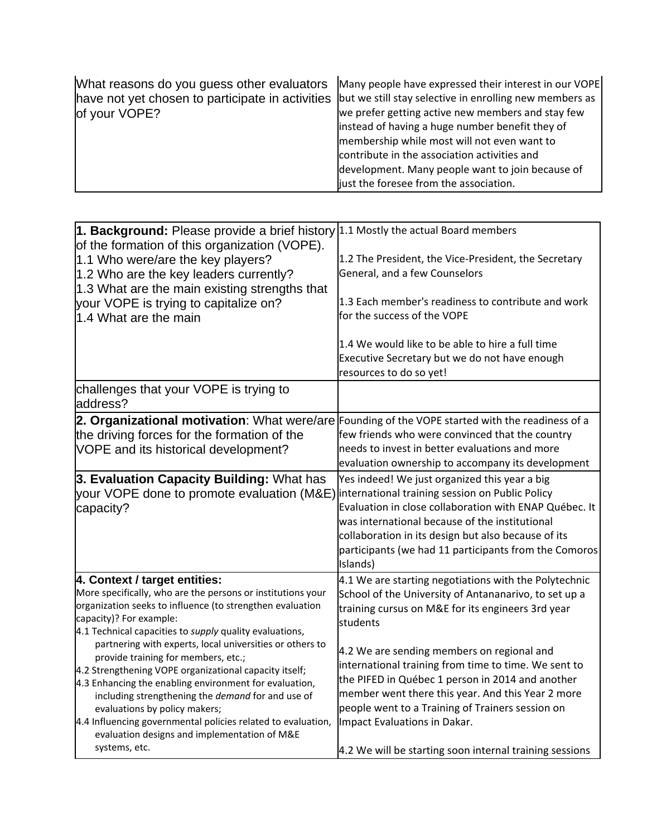| What reasons do you guess other evaluators<br>have not yet chosen to participate in activities<br>of your VOPE? | Many people have expressed their interest in our VOPE<br>but we still stay selective in enrolling new members as<br>we prefer getting active new members and stay few<br>instead of having a huge number benefit they of<br>membership while most will not even want to<br>contribute in the association activities and<br>development. Many people want to join because of |
|-----------------------------------------------------------------------------------------------------------------|-----------------------------------------------------------------------------------------------------------------------------------------------------------------------------------------------------------------------------------------------------------------------------------------------------------------------------------------------------------------------------|
|                                                                                                                 | just the foresee from the association.                                                                                                                                                                                                                                                                                                                                      |

| 1. Background: Please provide a brief history 1.1 Mostly the actual Board members                                   |                                                                                       |
|---------------------------------------------------------------------------------------------------------------------|---------------------------------------------------------------------------------------|
| of the formation of this organization (VOPE).                                                                       |                                                                                       |
| 1.1 Who were/are the key players?                                                                                   | 1.2 The President, the Vice-President, the Secretary<br>General, and a few Counselors |
| 1.2 Who are the key leaders currently?                                                                              |                                                                                       |
| 1.3 What are the main existing strengths that                                                                       | 1.3 Each member's readiness to contribute and work                                    |
| your VOPE is trying to capitalize on?                                                                               | for the success of the VOPE                                                           |
| 1.4 What are the main                                                                                               |                                                                                       |
|                                                                                                                     | 1.4 We would like to be able to hire a full time                                      |
|                                                                                                                     | Executive Secretary but we do not have enough                                         |
|                                                                                                                     | resources to do so yet!                                                               |
| challenges that your VOPE is trying to<br>address?                                                                  |                                                                                       |
| 2. Organizational motivation: What were/are Founding of the VOPE started with the readiness of a                    |                                                                                       |
| the driving forces for the formation of the                                                                         | few friends who were convinced that the country                                       |
| VOPE and its historical development?                                                                                | needs to invest in better evaluations and more                                        |
|                                                                                                                     | evaluation ownership to accompany its development                                     |
| 3. Evaluation Capacity Building: What has                                                                           | Yes indeed! We just organized this year a big                                         |
| your VOPE done to promote evaluation (M&E) international training session on Public Policy                          |                                                                                       |
| capacity?                                                                                                           | Evaluation in close collaboration with ENAP Québec. It                                |
|                                                                                                                     | was international because of the institutional                                        |
|                                                                                                                     | collaboration in its design but also because of its                                   |
|                                                                                                                     | participants (we had 11 participants from the Comoros                                 |
|                                                                                                                     | Islands)                                                                              |
| 4. Context / target entities:                                                                                       | 4.1 We are starting negotiations with the Polytechnic                                 |
| More specifically, who are the persons or institutions your                                                         | School of the University of Antananarivo, to set up a                                 |
| organization seeks to influence (to strengthen evaluation                                                           | training cursus on M&E for its engineers 3rd year                                     |
| capacity)? For example:                                                                                             | students                                                                              |
| 4.1 Technical capacities to supply quality evaluations,<br>partnering with experts, local universities or others to |                                                                                       |
| provide training for members, etc.;                                                                                 | 4.2 We are sending members on regional and                                            |
| 4.2 Strengthening VOPE organizational capacity itself;                                                              | international training from time to time. We sent to                                  |
| 4.3 Enhancing the enabling environment for evaluation,                                                              | the PIFED in Québec 1 person in 2014 and another                                      |
| including strengthening the demand for and use of                                                                   | member went there this year. And this Year 2 more                                     |
| evaluations by policy makers;                                                                                       | people went to a Training of Trainers session on                                      |
| 4.4 Influencing governmental policies related to evaluation,                                                        | Impact Evaluations in Dakar.                                                          |
| evaluation designs and implementation of M&E                                                                        |                                                                                       |
| systems, etc.                                                                                                       | 4.2 We will be starting soon internal training sessions                               |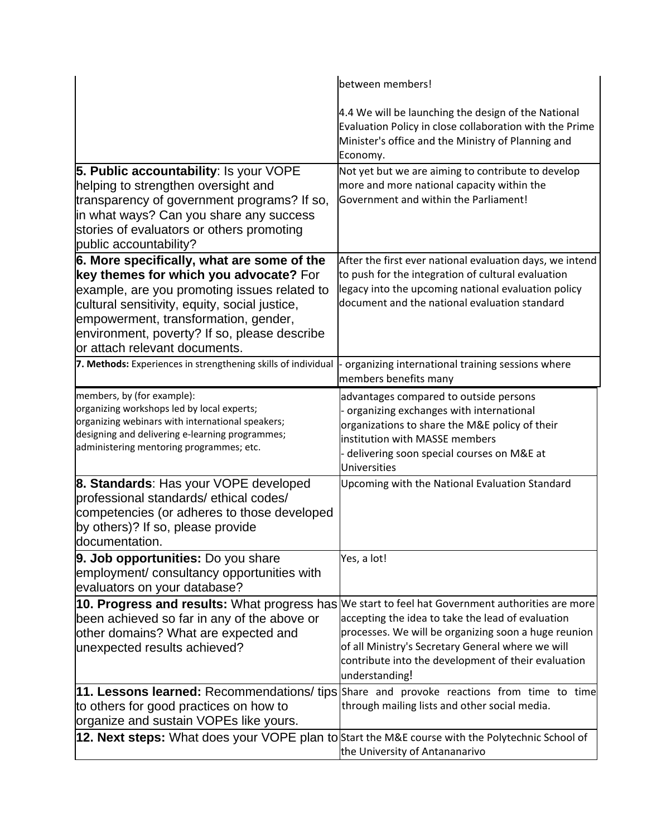|                                                                                                  | between members!                                                                                                                                                                 |
|--------------------------------------------------------------------------------------------------|----------------------------------------------------------------------------------------------------------------------------------------------------------------------------------|
|                                                                                                  | 4.4 We will be launching the design of the National<br>Evaluation Policy in close collaboration with the Prime<br>Minister's office and the Ministry of Planning and<br>Economy. |
| 5. Public accountability: Is your VOPE                                                           | Not yet but we are aiming to contribute to develop                                                                                                                               |
| helping to strengthen oversight and                                                              | more and more national capacity within the                                                                                                                                       |
| transparency of government programs? If so,                                                      | Government and within the Parliament!                                                                                                                                            |
| in what ways? Can you share any success                                                          |                                                                                                                                                                                  |
| stories of evaluators or others promoting                                                        |                                                                                                                                                                                  |
| public accountability?                                                                           |                                                                                                                                                                                  |
| 6. More specifically, what are some of the<br>key themes for which you advocate? For             | After the first ever national evaluation days, we intend<br>to push for the integration of cultural evaluation                                                                   |
| example, are you promoting issues related to                                                     | legacy into the upcoming national evaluation policy                                                                                                                              |
| cultural sensitivity, equity, social justice,                                                    | document and the national evaluation standard                                                                                                                                    |
| empowerment, transformation, gender,                                                             |                                                                                                                                                                                  |
| environment, poverty? If so, please describe                                                     |                                                                                                                                                                                  |
| or attach relevant documents.                                                                    |                                                                                                                                                                                  |
| 7. Methods: Experiences in strengthening skills of individual                                    | organizing international training sessions where<br>members benefits many                                                                                                        |
| members, by (for example):                                                                       | advantages compared to outside persons                                                                                                                                           |
| organizing workshops led by local experts;<br>organizing webinars with international speakers;   | organizing exchanges with international                                                                                                                                          |
| designing and delivering e-learning programmes;                                                  | organizations to share the M&E policy of their<br>institution with MASSE members                                                                                                 |
| administering mentoring programmes; etc.                                                         | delivering soon special courses on M&E at                                                                                                                                        |
|                                                                                                  | Universities                                                                                                                                                                     |
| 8. Standards: Has your VOPE developed                                                            | Upcoming with the National Evaluation Standard                                                                                                                                   |
| professional standards/ethical codes/                                                            |                                                                                                                                                                                  |
| competencies (or adheres to those developed                                                      |                                                                                                                                                                                  |
| by others)? If so, please provide                                                                |                                                                                                                                                                                  |
| documentation.                                                                                   |                                                                                                                                                                                  |
| 9. Job opportunities: Do you share                                                               | Yes, a lot!                                                                                                                                                                      |
| employment/ consultancy opportunities with                                                       |                                                                                                                                                                                  |
| evaluators on your database?                                                                     |                                                                                                                                                                                  |
| 10. Progress and results: What progress has We start to feel hat Government authorities are more | accepting the idea to take the lead of evaluation                                                                                                                                |
| been achieved so far in any of the above or<br>other domains? What are expected and              | processes. We will be organizing soon a huge reunion                                                                                                                             |
| unexpected results achieved?                                                                     | of all Ministry's Secretary General where we will                                                                                                                                |
|                                                                                                  | contribute into the development of their evaluation                                                                                                                              |
|                                                                                                  | understanding!                                                                                                                                                                   |
| 11. Lessons learned: Recommendations/ tips Share and provoke reactions from time to time         |                                                                                                                                                                                  |
| to others for good practices on how to                                                           | through mailing lists and other social media.                                                                                                                                    |
| organize and sustain VOPEs like yours.                                                           |                                                                                                                                                                                  |
| 12. Next steps: What does your VOPE plan to Start the M&E course with the Polytechnic School of  |                                                                                                                                                                                  |
|                                                                                                  | the University of Antananarivo                                                                                                                                                   |